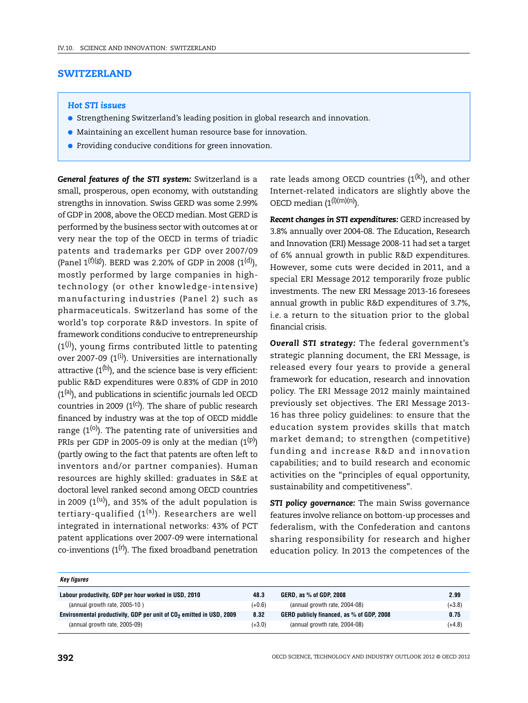# **SWITZERLAND**

### *Hot STI issues*

- Strengthening Switzerland's leading position in global research and innovation.
- Maintaining an excellent human resource base for innovation.
- Providing conducive conditions for green innovation.

*General features of the STI system:* Switzerland is a small, prosperous, open economy, with outstanding strengths in innovation. Swiss GERD was some 2.99% of GDP in 2008, above the OECD median. Most GERD is performed by the business sector with outcomes at or very near the top of the OECD in terms of triadic patents and trademarks per GDP over 2007/09 (Panel  $1^{(f)(g)}$ ). BERD was 2.20% of GDP in 2008 (1<sup>(d)</sup>), mostly performed by large companies in hightechnology (or other knowledge-intensive) manufacturing industries (Panel 2) such as pharmaceuticals. Switzerland has some of the world's top corporate R&D investors. In spite of framework conditions conducive to entrepreneurship  $(1<sup>(j)</sup>)$ , young firms contributed little to patenting over 2007-09  $(1^{(i)})$ . Universities are internationally attractive  $(1^{(b)})$ , and the science base is very efficient: public R&D expenditures were 0.83% of GDP in 2010  $(1<sup>(a)</sup>)$ , and publications in scientific journals led OECD countries in 2009  $(1^{(c)})$ . The share of public research financed by industry was at the top of OECD middle range  $(1^{(0)})$ . The patenting rate of universities and PRIs per GDP in 2005-09 is only at the median  $(1^{(p)})$ (partly owing to the fact that patents are often left to inventors and/or partner companies). Human resources are highly skilled: graduates in S&E at doctoral level ranked second among OECD countries in 2009  $(1^{(u)})$ , and 35% of the adult population is tertiary-qualified  $(1^{(s)})$ . Researchers are well integrated in international networks: 43% of PCT patent applications over 2007-09 were international co-inventions  $(1^{(r)})$ . The fixed broadband penetration

rate leads among OECD countries  $(1^{(k)})$ , and other Internet-related indicators are slightly above the OECD median  $(1^{(l)(m)(n)})$ .

*Recent changes in STI expenditures:* GERD increased by 3.8% annually over 2004-08. The Education, Research and Innovation (ERI) Message 2008-11 had set a target of 6% annual growth in public R&D expenditures. However, some cuts were decided in 2011, and a special ERI Message 2012 temporarily froze public investments. The new ERI Message 2013-16 foresees annual growth in public R&D expenditures of 3.7%, *i.e.* a return to the situation prior to the global financial crisis.

*Overall STI strategy:* The federal government's strategic planning document, the ERI Message, is released every four years to provide a general framework for education, research and innovation policy. The ERI Message 2012 mainly maintained previously set objectives. The ERI Message 2013- 16 has three policy guidelines: to ensure that the education system provides skills that match market demand; to strengthen (competitive) funding and increase R&D and innovation capabilities; and to build research and economic activities on the "principles of equal opportunity, sustainability and competitiveness".

**STI policy governance:** The main Swiss governance features involve reliance on bottom-up processes and federalism, with the Confederation and cantons sharing responsibility for research and higher education policy. In 2013 the competences of the

| Key figures                                                                      |          |                                           |          |
|----------------------------------------------------------------------------------|----------|-------------------------------------------|----------|
| Labour productivity, GDP per hour worked in USD, 2010                            | 48.3     | GERD, as % of GDP, 2008                   | 2.99     |
| (annual growth rate, 2005-10)                                                    | $(+0.6)$ | (annual growth rate, 2004-08)             | $(+3.8)$ |
| Environmental productivity, GDP per unit of CO <sub>2</sub> emitted in USD, 2009 | 8.32     | GERD publicly financed, as % of GDP, 2008 | 0.75     |
| (annual growth rate, 2005-09)                                                    | $(+3.0)$ | (annual growth rate, 2004-08)             | $(+4.8)$ |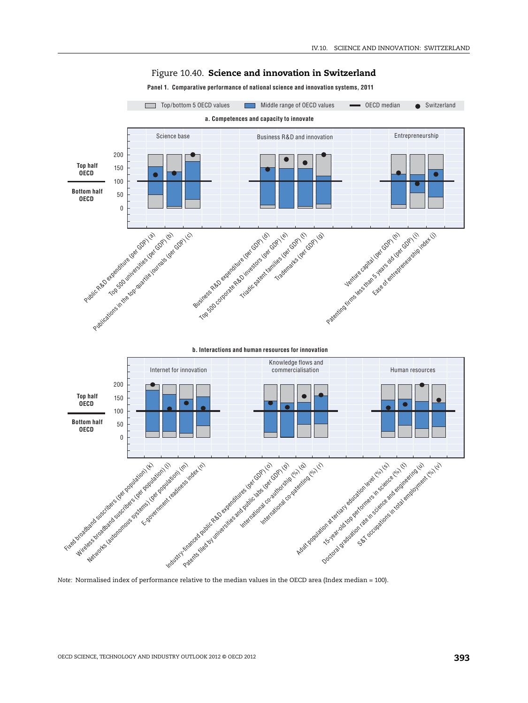

## Figure 10.40. **Science and innovation in Switzerland**

**Panel 1. Comparative performance of national science and innovation systems, 2011**

*Note:* Normalised index of performance relative to the median values in the OECD area (Index median = 100).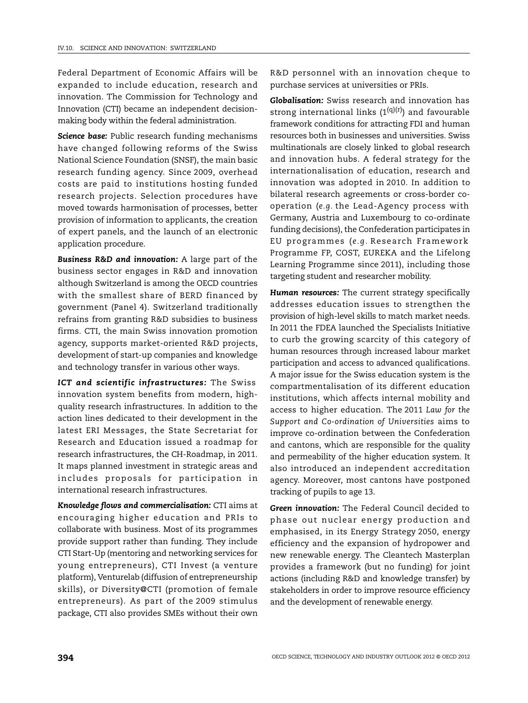Federal Department of Economic Affairs will be expanded to include education, research and innovation. The Commission for Technology and Innovation (CTI) became an independent decisionmaking body within the federal administration.

*Science base:* Public research funding mechanisms have changed following reforms of the Swiss National Science Foundation (SNSF), the main basic research funding agency. Since 2009, overhead costs are paid to institutions hosting funded research projects. Selection procedures have moved towards harmonisation of processes, better provision of information to applicants, the creation of expert panels, and the launch of an electronic application procedure.

*Business R&D and innovation:* A large part of the business sector engages in R&D and innovation although Switzerland is among the OECD countries with the smallest share of BERD financed by government (Panel 4). Switzerland traditionally refrains from granting R&D subsidies to business firms. CTI, the main Swiss innovation promotion agency, supports market-oriented R&D projects, development of start-up companies and knowledge and technology transfer in various other ways.

*ICT and scientific infrastructures:* The Swiss innovation system benefits from modern, highquality research infrastructures. In addition to the action lines dedicated to their development in the latest ERI Messages, the State Secretariat for Research and Education issued a roadmap for research infrastructures, the CH-Roadmap, in 2011. It maps planned investment in strategic areas and includes proposals for participation in international research infrastructures.

*Knowledge flows and commercialisation:* CTI aims at encouraging higher education and PRIs to collaborate with business. Most of its programmes provide support rather than funding. They include CTI Start-Up (mentoring and networking services for young entrepreneurs), CTI Invest (a venture platform), Venturelab (diffusion of entrepreneurship skills), or Diversity@CTI (promotion of female entrepreneurs). As part of the 2009 stimulus package, CTI also provides SMEs without their own R&D personnel with an innovation cheque to purchase services at universities or PRIs.

*Globalisation:* Swiss research and innovation has strong international links  $(1^{(q)(r)})$  and favourable framework conditions for attracting FDI and human resources both in businesses and universities. Swiss multinationals are closely linked to global research and innovation hubs. A federal strategy for the internationalisation of education, research and innovation was adopted in 2010. In addition to bilateral research agreements or cross-border cooperation (*e.g.* the Lead-Agency process with Germany, Austria and Luxembourg to co-ordinate funding decisions), the Confederation participates in EU programmes ( *e.g.* Research Framework Programme FP, COST, EUREKA and the Lifelong Learning Programme since 2011), including those targeting student and researcher mobility.

*Human resources:* The current strategy specifically addresses education issues to strengthen the provision of high-level skills to match market needs. In 2011 the FDEA launched the Specialists Initiative to curb the growing scarcity of this category of human resources through increased labour market participation and access to advanced qualifications. A major issue for the Swiss education system is the compartmentalisation of its different education institutions, which affects internal mobility and access to higher education. The 2011 *Law for the Support and Co-ordination of Universities* aims to improve co-ordination between the Confederation and cantons, which are responsible for the quality and permeability of the higher education system. It also introduced an independent accreditation agency. Moreover, most cantons have postponed tracking of pupils to age 13.

*Green innovation:* The Federal Council decided to phase out nuclear energy production and emphasised, in its Energy Strategy 2050, energy efficiency and the expansion of hydropower and new renewable energy. The Cleantech Masterplan provides a framework (but no funding) for joint actions (including R&D and knowledge transfer) by stakeholders in order to improve resource efficiency and the development of renewable energy.